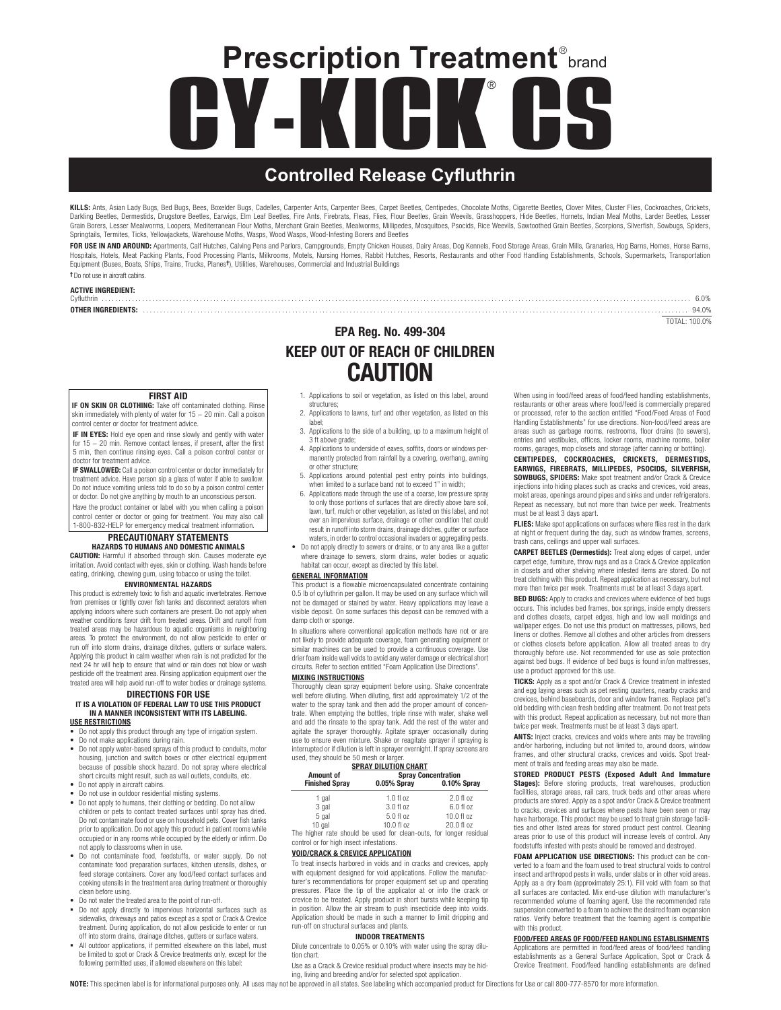# **CY-KICK CS** ® **Prescription Treatment**®brand

# **Controlled Release Cyfluthrin**

**KILLS:** Ants, Asian Lady Bugs, Bed Bugs, Bees, Boxelder Bugs, Cadelles, Carpenter Ants, Carpenter Beetes, Capet Beetles, Chorbete, Chocolate Moths, Cigarette Beetles, Clover Mites, Cluster Flies, Cockroaches, Crickets,<br>Da Grain Borers, Lesser Mealworms, Loopers, Mediterranean Flour Moths, Merchant Grain Beetles, Mealworms, Millipedes, Mosquitoes, Psocids, Rice Weevils, Sawtoothed Grain Beetles, Scorpions, Silverfish, Sowbugs, Spiders, Scorp Springtails, Termites, Ticks, Yellowjackets, Warehouse Moths, Wasps, Wood Wasps, Wood-Infesting Borers and Beetles

FOR USE IN AND AROUND: Apartments, Calf Hutches, Calving Pens and Parlors, Campgrounds, Empty Chicken Houses, Dairy Areas, Dog Kennels, Food Storage Areas, Grain Mills, Granaries, Hog Barns, Homes, Horse Barns, Hospitals, Hotels, Meat Packing Plants, Food Processing Plants, Milkrooms, Motels, Nursing Homes, Rabbit Hutches, Resorts, Restaurants and other Food Handling Establishments, Schools, Supermarkets, Transportation Equipment (Buses, Boats, Ships, Trains, Trucks, Planes†), Utilities, Warehouses, Commercial and Industrial Buildings

> EPA Reg. No. 499-304 KEEP OUT OF REACH OF CHILDREN CAUTION

Cyfluthrin . . . . . . . . . . . . . . . . . . . . . . . . . . . . . . . . . . . . . . . . . . . . . . . . . . . . . . . . . . . . . . . . . . . . . . . . . . . . . . . . . . . . . . . . . . . . . . . . . . . . . . . . . . . . . . . . . . . . . . . . . . . . . . . . . . . . . . . . . . . . . . . . . . . . . . . . . . . . . . . . . . . . . . . . . . . . . . 6.0%

# †Do not use in aircraft cabins.

**ACTIVE INGREDIENT:**<br>Cyfluthrin

OTHER INGREDIENTS: . . . . . . . . . . . . . . . . . . . . . . . . . . . . . . . . . . . . . . . . . . . . . . . . . . . . . . . . . . . . . . . . . . . . . . . . . . . . . . . . . . . . . . . . . . . . . . . . . . . . . . . . . . . . . . . . . . . . . . . . . . . . . . . . . . . . . . . . . . . . . . . . . . . . . . . . . . . . . . . . . 94.0% TOTAL: 100.0%

# FIRST AID

**IF ON SKIN OR CLOTHING:** Take off contaminated clothing. Rinse<br>skin immediately with plenty of water for 15 − 20 min. Call a poison control center or doctor for treatment advice.

IF IN EYES: Hold eye open and rinse slowly and gently with water for 15 − 20 min. Remove contact lenses, if present, after the first 5 min, then continue rinsing eyes. Call a poison control center or doctor for treatment advice.

IF SWALLOWED: Call a poison control center or doctor immediately for treatment advice. Have person sip a glass of water if able to swallow. Do not induce vomiting unless told to do so by a poison control center or doctor. Do not give anything by mouth to an unconscious person.

Have the product container or label with you when calling a poison control center or doctor or going for treatment. You may also call 1-800-832-HELP for emergency medical treatment information.

# PRECAUTIONARY STATEMENTS

HAZARDS TO HUMANS AND DOMESTIC ANIMALS CAUTION: Harmful if absorbed through skin. Causes moderate eye irritation. Avoid contact with eyes, skin or clothing. Wash hands before eating, drinking, chewing gum, using tobacco or using the toilet.

## ENVIRONMENTAL HAZARDS

This product is extremely toxic to fish and aquatic invertebrates. Remove from premises or tightly cover fish tanks and disconnect aerators when applying indoors where such containers are present. Do not apply when weather conditions favor drift from treated areas. Drift and runoff from treated areas may be hazardous to aquatic organisms in neighboring areas. To protect the environment, do not allow pesticide to enter or run off into storm drains, drainage ditches, gutters or surface waters. Applying this product in calm weather when rain is not predicted for the next 24 hr will help to ensure that wind or rain does not blow or wash pesticide off the treatment area. Rinsing application equipment over the treated area will help avoid run-off to water bodies or drainage systems.

# DIRECTIONS FOR USE IT IS A VIOLATION OF FEDERAL LAW TO USE THIS PRODUCT

#### IN A MANNER INCONSISTENT WITH ITS LABELING. USE RESTRICTIONS

- Do not apply this product through any type of irrigation system.
- Do not make applications during rain.
- Do not apply water-based sprays of this product to conduits, motor housing, junction and switch boxes or other electrical equipment because of possible shock hazard. Do not spray where electrical short circuits might result, such as wall outlets, conduits, etc.
- Do not apply in aircraft cabins.
- Do not use in outdoor residential misting systems. • Do not apply to humans, their clothing or bedding. Do not allow children or pets to contact treated surfaces until spray has dried. Do not contaminate food or use on household pets. Cover fish tanks prior to application. Do not apply this product in patient rooms while occupied or in any rooms while occupied by the elderly or infirm. Do
- not apply to classrooms when in use. • Do not contaminate food, feedstuffs, or water supply. Do not contaminate food preparation surfaces, kitchen utensils, dishes, or feed storage containers. Cover any food/feed contact surfaces and cooking utensils in the treatment area during treatment or thoroughly clean before using.
- Do not water the treated area to the point of run-off.
- Do not apply directly to impervious horizontal surfaces such as sidewalks, driveways and patios except as a spot or Crack & Crevice treatment. During application, do not allow pesticide to enter or run off into storm drains, drainage ditches, gutters or surface waters.
- All outdoor applications, if permitted elsewhere on this label, must be limited to spot or Crack & Crevice treatments only, except for the following permitted uses, if allowed elsewhere on this label:
- 1. Applications to soil or vegetation, as listed on this label, around structures;
- 2. Applications to lawns, turf and other vegetation, as listed on this label;
- 3. Applications to the side of a building, up to a maximum height of 3 ft above grade; 4. Applications to underside of eaves, soffits, doors or windows per-
- manently protected from rainfall by a covering, overhang, awning or other structure;
- 5. Applications around potential pest entry points into buildings, when limited to a surface band not to exceed 1" in width;
- 6. Applications made through the use of a coarse, low pressure spray to only those portions of surfaces that are directly above bare soil, lawn, turf, mulch or other vegetation, as listed on this label, and not over an impervious surface, drainage or other condition that could result in runoff into storm drains, drainage ditches, gutter or surface waters, in order to control occasional invaders or aggregating pests.
- Do not apply directly to sewers or drains, or to any area like a gutter where drainage to sewers, storm drains, water bodies or aquatic habitat can occur, except as directed by this label

## GENERAL INFORMATION

This product is a flowable microencapsulated concentrate containing 0.5 lb of cyfluthrin per gallon. It may be used on any surface which will not be damaged or stained by water. Heavy applications may leave a visible deposit. On some surfaces this deposit can be removed with a damp cloth or sponge.

In situations where conventional application methods have not or are not likely to provide adequate coverage, foam generating equipment or similar machines can be used to provide a continuous coverage. Use drier foam inside wall voids to avoid any water damage or electrical short circuits. Refer to section entitled "Foam Application Use Directions".

### MIXING INSTRUCTIONS

Thoroughly clean spray equipment before using. Shake concentrate well before diluting. When diluting, first add approximately 1/2 of the water to the spray tank and then add the proper amount of concentrate. When emptying the bottles, triple rinse with water, shake well and add the rinsate to the spray tank. Add the rest of the water and agitate the sprayer thoroughly. Agitate sprayer occasionally during use to ensure even mixture. Shake or reagitate sprayer if spraying is interrupted or if dilution is left in sprayer overnight. If spray screens are used, they should be 50 mesh or larger

| <b>SPRAY DILUTION CHART</b> |                                                                    |             |  |
|-----------------------------|--------------------------------------------------------------------|-------------|--|
| Amount of                   | <b>Spray Concentration</b>                                         |             |  |
| <b>Finished Spray</b>       | 0.05% Spray                                                        | 0.10% Spray |  |
| 1 gal                       | 1.0 fl oz                                                          | 2.0 f1 oz   |  |
| 3 gal                       | 3.0 fl oz                                                          | 6.0 fl oz   |  |
| 5 gal                       | 5.0 fl oz                                                          | 10.0 fl oz  |  |
| 10 gal                      | 10.0 fl oz                                                         | 20.0 fl oz  |  |
|                             | The higher rate should be used for clean-outs, for longer residual |             |  |

control or for high insect infestations.

## VOID/CRACK & CREVICE APPLICATION

To treat insects harbored in voids and in cracks and crevices, apply with equipment designed for void applications. Follow the manufacturer's recommendations for proper equipment set up and operating pressures. Place the tip of the applicator at or into the crack or crevice to be treated. Apply product in short bursts while keeping tip in position. Allow the air stream to push insecticide deep into voids. Application should be made in such a manner to limit dripping and run-off on structural surfaces and plants.

#### INDOOR TREATMENTS

Dilute concentrate to 0.05% or 0.10% with water using the spray dilution chart.

Use as a Crack & Crevice residual product where insects may be hiding, living and breeding and/or for selected spot application.

When using in food/feed areas of food/feed handling establishments restaurants or other areas where food/feed is commercially prepared or processed, refer to the section entitled "Food/Feed Areas of Food Handling Establishments" for use directions. Non-food/feed areas are areas such as garbage rooms, restrooms, floor drains (to sewers), entries and vestibules, offices, locker rooms, machine rooms, boiler rooms, garages, mop closets and storage (after canning or bottling).

CENTIPEDES, COCKROACHES, CRICKETS, DERMESTIDS, EARWIGS, FIREBRATS, MILLIPEDES, PSOCIDS, SILVERFISH, SOWBUGS, SPIDERS: Make spot treatment and/or Crack & Crevice injections into hiding places such as cracks and crevices, void areas, moist areas, openings around pipes and sinks and under refrigerators. Repeat as necessary, but not more than twice per week. Treatments must be at least 3 days apart.

FLIES: Make spot applications on surfaces where flies rest in the dark at night or frequent during the day, such as window frames, screens, trash cans, ceilings and upper wall surfaces.

CARPET BEETLES (Dermestids): Treat along edges of carpet, under carpet edge, furniture, throw rugs and as a Crack & Crevice application in closets and other shelving where infested items are stored. Do not treat clothing with this product. Repeat application as necessary, but not more than twice per week. Treatments must be at least 3 days apart.

BED BUGS: Apply to cracks and crevices where evidence of bed bugs occurs. This includes bed frames, box springs, inside empty dressers and clothes closets, carpet edges, high and low wall moldings and wallpaper edges. Do not use this product on mattresses, pillows, bed linens or clothes. Remove all clothes and other articles from dressers or clothes closets before application. Allow all treated areas to dry thoroughly before use. Not recommended for use as sole protection against bed bugs. If evidence of bed bugs is found in/on mattresses, use a product approved for this use.

TICKS: Apply as a spot and/or Crack & Crevice treatment in infested and egg laying areas such as pet resting quarters, nearby cracks and crevices, behind baseboards, door and window frames. Replace pet's old bedding with clean fresh bedding after treatment. Do not treat pets with this product. Repeat application as necessary, but not more than twice per week. Treatments must be at least 3 days apart.

ANTS: Inject cracks, crevices and voids where ants may be traveling and/or harboring, including but not limited to, around doors, window frames, and other structural cracks, crevices and voids. Spot treatment of trails and feeding areas may also be made.

STORED PRODUCT PESTS (Exposed Adult And Immature **Stages):** Before storing products, treat warehouses, production<br>facilities, storage areas, rail cars, truck beds and other areas where products are stored. Apply as a spot and/or Crack & Crevice treatment to cracks, crevices and surfaces where pests have been seen or may have harborage. This product may be used to treat grain storage facilities and other listed areas for stored product pest control. Cleaning areas prior to use of this product will increase levels of control. Any foodstuffs infested with pests should be removed and destroyed.

FOAM APPLICATION USE DIRECTIONS: This product can be converted to a foam and the foam used to treat structural voids to control insect and arthropod pests in walls, under slabs or in other void areas. Apply as a dry foam (approximately 25:1). Fill void with foam so that all surfaces are contacted. Mix end-use dilution with manufacturer's recommended volume of foaming agent. Use the recommended rate suspension converted to a foam to achieve the desired foam expansion ratios. Verify before treatment that the foaming agent is compatible with this product.

# FOOD/FEED AREAS OF FOOD/FEED HANDLING ESTABLISHMENTS

Applications are permitted in food/feed areas of food/feed handling establishments as a General Surface Application, Spot or Crack & Crevice Treatment. Food/feed handling establishments are defined

NOTE: This specimen label is for informational purposes only. All uses may not be approved in all states. See labeling which accompanied product for Directions for Use or call 800-777-8570 for more information.